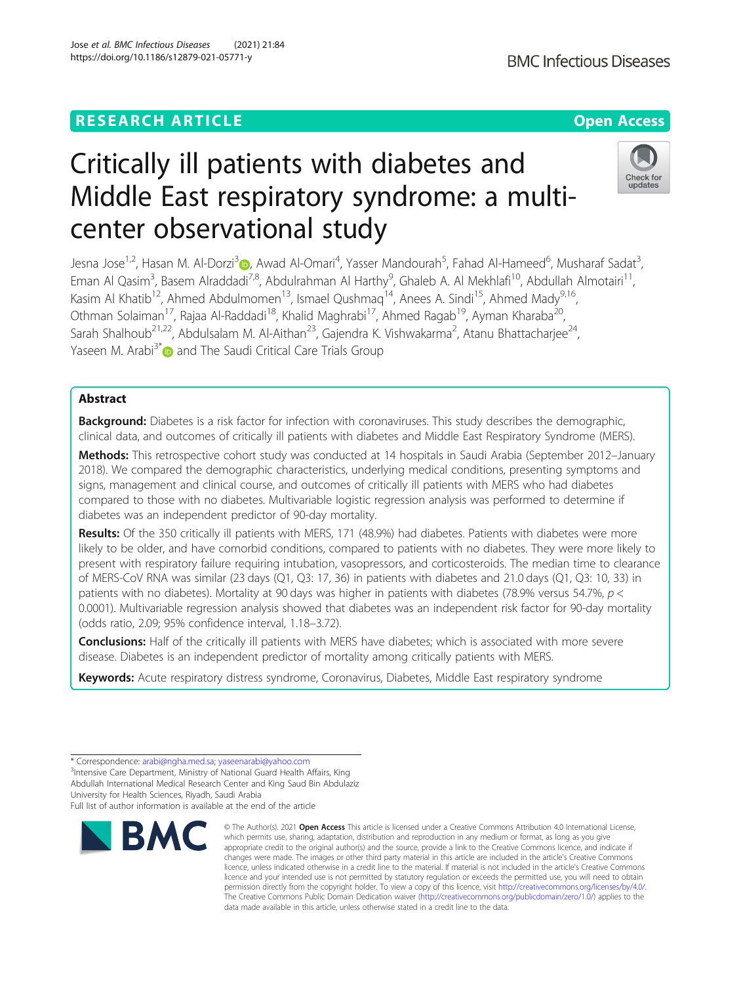# **RESEARCH ARTICLE Example 2014 12:30 The Contract of Contract ACCESS**

# Critically ill patients with diabetes and Middle East respiratory syndrome: a multicenter observational study

Jesna Jose<sup>1,2</sup>, Hasan M. Al-Dorzi<sup>[3](https://orcid.org/0000-0002-3772-8949)</sup> (**p**, Awad Al-Omari<sup>4</sup>, Yasser Mandourah<sup>5</sup>, Fahad Al-Hameed<sup>6</sup>, Musharaf Sadat<sup>3</sup> , Eman Al Qasim<sup>3</sup>, Basem Alraddadi<sup>7,8</sup>, Abdulrahman Al Harthy<sup>9</sup>, Ghaleb A. Al Mekhlafi<sup>10</sup>, Abdullah Almotairi<sup>11</sup>, Kasim Al Khatib<sup>12</sup>, Ahmed Abdulmomen<sup>13</sup>, Ismael Qushmaq<sup>14</sup>, Anees A. Sindi<sup>15</sup>, Ahmed Mady<sup>9,16</sup>, Othman Solaiman<sup>17</sup>, Rajaa Al-Raddadi<sup>18</sup>, Khalid Maghrabi<sup>17</sup>, Ahmed Ragab<sup>19</sup>, Ayman Kharaba<sup>20</sup>, Sarah Shalhoub<sup>21,22</sup>, Abdulsalam M. Al-Aithan<sup>23</sup>, Gajendra K. Vishwakarma<sup>2</sup>, Atanu Bhattacharjee<sup>24</sup>, Yaseen M. Arabi<sup>3[\\*](http://orcid.org/0000-0001-5735-6241)</sup> and The Saudi Critical Care Trials Group

# Abstract

Background: Diabetes is a risk factor for infection with coronaviruses. This study describes the demographic, clinical data, and outcomes of critically ill patients with diabetes and Middle East Respiratory Syndrome (MERS).

Methods: This retrospective cohort study was conducted at 14 hospitals in Saudi Arabia (September 2012-January 2018). We compared the demographic characteristics, underlying medical conditions, presenting symptoms and signs, management and clinical course, and outcomes of critically ill patients with MERS who had diabetes compared to those with no diabetes. Multivariable logistic regression analysis was performed to determine if diabetes was an independent predictor of 90-day mortality.

Results: Of the 350 critically ill patients with MERS, 171 (48.9%) had diabetes. Patients with diabetes were more likely to be older, and have comorbid conditions, compared to patients with no diabetes. They were more likely to present with respiratory failure requiring intubation, vasopressors, and corticosteroids. The median time to clearance of MERS-CoV RNA was similar (23 days (Q1, Q3: 17, 36) in patients with diabetes and 21.0 days (Q1, Q3: 10, 33) in patients with no diabetes). Mortality at 90 days was higher in patients with diabetes (78.9% versus 54.7%, p < 0.0001). Multivariable regression analysis showed that diabetes was an independent risk factor for 90-day mortality (odds ratio, 2.09; 95% confidence interval, 1.18–3.72).

Conclusions: Half of the critically ill patients with MERS have diabetes; which is associated with more severe disease. Diabetes is an independent predictor of mortality among critically patients with MERS.

Keywords: Acute respiratory distress syndrome, Coronavirus, Diabetes, Middle East respiratory syndrome

© The Author(s), 2021 **Open Access** This article is licensed under a Creative Commons Attribution 4.0 International License, which permits use, sharing, adaptation, distribution and reproduction in any medium or format, as long as you give appropriate credit to the original author(s) and the source, provide a link to the Creative Commons licence, and indicate if changes were made. The images or other third party material in this article are included in the article's Creative Commons licence, unless indicated otherwise in a credit line to the material. If material is not included in the article's Creative Commons licence and your intended use is not permitted by statutory regulation or exceeds the permitted use, you will need to obtain permission directly from the copyright holder. To view a copy of this licence, visit [http://creativecommons.org/licenses/by/4.0/.](http://creativecommons.org/licenses/by/4.0/) The Creative Commons Public Domain Dedication waiver [\(http://creativecommons.org/publicdomain/zero/1.0/](http://creativecommons.org/publicdomain/zero/1.0/)) applies to the data made available in this article, unless otherwise stated in a credit line to the data.

\* Correspondence: [arabi@ngha.med.sa](mailto:arabi@ngha.med.sa); [yaseenarabi@yahoo.com](mailto:yaseenarabi@yahoo.com) <sup>3</sup> <sup>3</sup>Intensive Care Department, Ministry of National Guard Health Affairs, King Abdullah International Medical Research Center and King Saud Bin Abdulaziz University for Health Sciences, Riyadh, Saudi Arabia

Full list of author information is available at the end of the article

**RMC** 





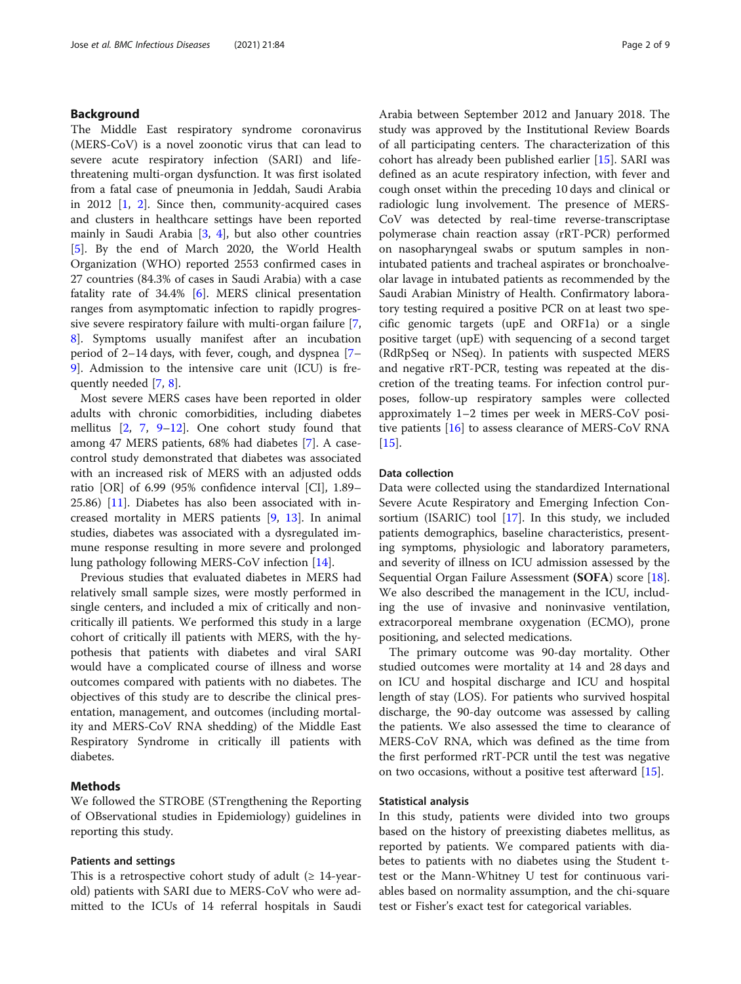# Background

The Middle East respiratory syndrome coronavirus (MERS-CoV) is a novel zoonotic virus that can lead to severe acute respiratory infection (SARI) and lifethreatening multi-organ dysfunction. It was first isolated from a fatal case of pneumonia in Jeddah, Saudi Arabia in 2012 [\[1](#page-7-0), [2](#page-7-0)]. Since then, community-acquired cases and clusters in healthcare settings have been reported mainly in Saudi Arabia [\[3](#page-7-0), [4\]](#page-7-0), but also other countries [[5\]](#page-7-0). By the end of March 2020, the World Health Organization (WHO) reported 2553 confirmed cases in 27 countries (84.3% of cases in Saudi Arabia) with a case fatality rate of 34.4% [[6\]](#page-7-0). MERS clinical presentation ranges from asymptomatic infection to rapidly progressive severe respiratory failure with multi-organ failure [\[7](#page-7-0), [8\]](#page-7-0). Symptoms usually manifest after an incubation period of 2–14 days, with fever, cough, and dyspnea [[7](#page-7-0)– [9\]](#page-7-0). Admission to the intensive care unit (ICU) is frequently needed [\[7](#page-7-0), [8](#page-7-0)].

Most severe MERS cases have been reported in older adults with chronic comorbidities, including diabetes mellitus [[2,](#page-7-0) [7](#page-7-0), [9](#page-7-0)–[12\]](#page-7-0). One cohort study found that among 47 MERS patients, 68% had diabetes [[7\]](#page-7-0). A casecontrol study demonstrated that diabetes was associated with an increased risk of MERS with an adjusted odds ratio [OR] of 6.99 (95% confidence interval [CI], 1.89– 25.86) [\[11](#page-7-0)]. Diabetes has also been associated with increased mortality in MERS patients [[9](#page-7-0), [13](#page-8-0)]. In animal studies, diabetes was associated with a dysregulated immune response resulting in more severe and prolonged lung pathology following MERS-CoV infection [[14\]](#page-8-0).

Previous studies that evaluated diabetes in MERS had relatively small sample sizes, were mostly performed in single centers, and included a mix of critically and noncritically ill patients. We performed this study in a large cohort of critically ill patients with MERS, with the hypothesis that patients with diabetes and viral SARI would have a complicated course of illness and worse outcomes compared with patients with no diabetes. The objectives of this study are to describe the clinical presentation, management, and outcomes (including mortality and MERS-CoV RNA shedding) of the Middle East Respiratory Syndrome in critically ill patients with diabetes.

# Methods

We followed the STROBE (STrengthening the Reporting of OBservational studies in Epidemiology) guidelines in reporting this study.

## Patients and settings

This is a retrospective cohort study of adult  $(≥ 14$ -yearold) patients with SARI due to MERS-CoV who were admitted to the ICUs of 14 referral hospitals in Saudi Arabia between September 2012 and January 2018. The study was approved by the Institutional Review Boards of all participating centers. The characterization of this cohort has already been published earlier [[15\]](#page-8-0). SARI was defined as an acute respiratory infection, with fever and cough onset within the preceding 10 days and clinical or radiologic lung involvement. The presence of MERS-CoV was detected by real-time reverse-transcriptase polymerase chain reaction assay (rRT-PCR) performed on nasopharyngeal swabs or sputum samples in nonintubated patients and tracheal aspirates or bronchoalveolar lavage in intubated patients as recommended by the Saudi Arabian Ministry of Health. Confirmatory laboratory testing required a positive PCR on at least two specific genomic targets (upE and ORF1a) or a single positive target (upE) with sequencing of a second target (RdRpSeq or NSeq). In patients with suspected MERS and negative rRT-PCR, testing was repeated at the discretion of the treating teams. For infection control purposes, follow-up respiratory samples were collected approximately 1–2 times per week in MERS-CoV positive patients [[16\]](#page-8-0) to assess clearance of MERS-CoV RNA  $[15]$  $[15]$ .

### Data collection

Data were collected using the standardized International Severe Acute Respiratory and Emerging Infection Consortium (ISARIC) tool [[17\]](#page-8-0). In this study, we included patients demographics, baseline characteristics, presenting symptoms, physiologic and laboratory parameters, and severity of illness on ICU admission assessed by the Sequential Organ Failure Assessment (SOFA) score [\[18](#page-8-0)]. We also described the management in the ICU, including the use of invasive and noninvasive ventilation, extracorporeal membrane oxygenation (ECMO), prone positioning, and selected medications.

The primary outcome was 90-day mortality. Other studied outcomes were mortality at 14 and 28 days and on ICU and hospital discharge and ICU and hospital length of stay (LOS). For patients who survived hospital discharge, the 90-day outcome was assessed by calling the patients. We also assessed the time to clearance of MERS-CoV RNA, which was defined as the time from the first performed rRT-PCR until the test was negative on two occasions, without a positive test afterward [[15](#page-8-0)].

### Statistical analysis

In this study, patients were divided into two groups based on the history of preexisting diabetes mellitus, as reported by patients. We compared patients with diabetes to patients with no diabetes using the Student ttest or the Mann-Whitney U test for continuous variables based on normality assumption, and the chi-square test or Fisher's exact test for categorical variables.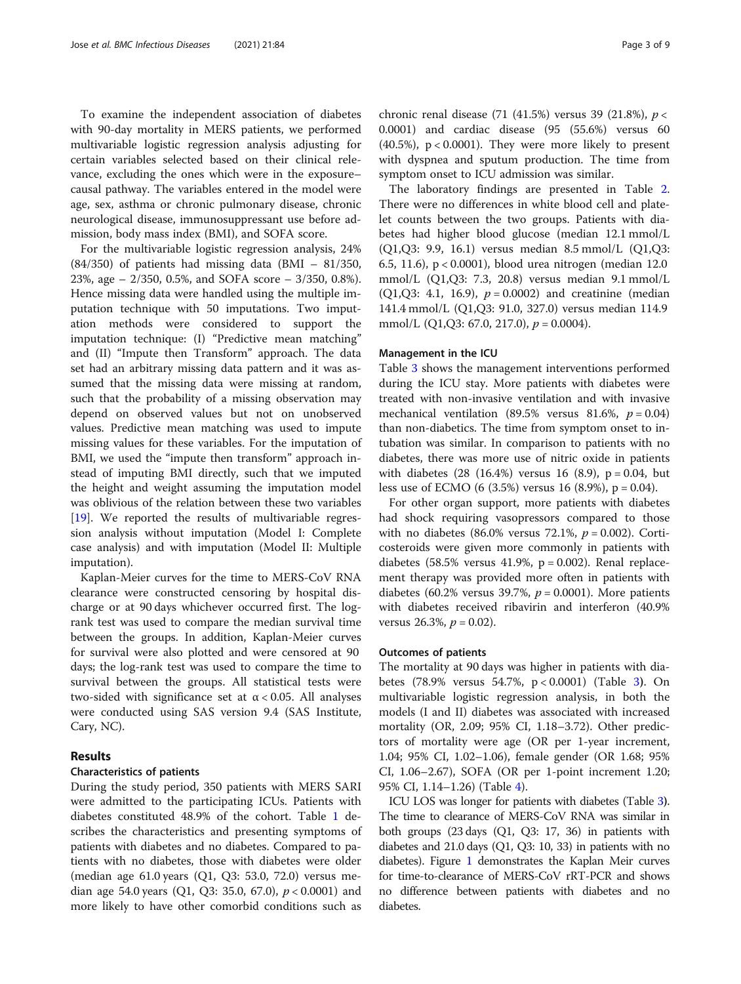To examine the independent association of diabetes with 90-day mortality in MERS patients, we performed multivariable logistic regression analysis adjusting for certain variables selected based on their clinical relevance, excluding the ones which were in the exposure– causal pathway. The variables entered in the model were age, sex, asthma or chronic pulmonary disease, chronic neurological disease, immunosuppressant use before admission, body mass index (BMI), and SOFA score.

For the multivariable logistic regression analysis, 24% (84/350) of patients had missing data (BMI – 81/350, 23%, age – 2/350, 0.5%, and SOFA score – 3/350, 0.8%). Hence missing data were handled using the multiple imputation technique with 50 imputations. Two imputation methods were considered to support the imputation technique: (I) "Predictive mean matching" and (II) "Impute then Transform" approach. The data set had an arbitrary missing data pattern and it was assumed that the missing data were missing at random, such that the probability of a missing observation may depend on observed values but not on unobserved values. Predictive mean matching was used to impute missing values for these variables. For the imputation of BMI, we used the "impute then transform" approach instead of imputing BMI directly, such that we imputed the height and weight assuming the imputation model was oblivious of the relation between these two variables [[19\]](#page-8-0). We reported the results of multivariable regression analysis without imputation (Model I: Complete case analysis) and with imputation (Model II: Multiple imputation).

Kaplan-Meier curves for the time to MERS-CoV RNA clearance were constructed censoring by hospital discharge or at 90 days whichever occurred first. The logrank test was used to compare the median survival time between the groups. In addition, Kaplan-Meier curves for survival were also plotted and were censored at 90 days; the log-rank test was used to compare the time to survival between the groups. All statistical tests were two-sided with significance set at  $\alpha$  < 0.05. All analyses were conducted using SAS version 9.4 (SAS Institute, Cary, NC).

# Results

### Characteristics of patients

During the study period, 350 patients with MERS SARI were admitted to the participating ICUs. Patients with diabetes constituted 48.9% of the cohort. Table [1](#page-3-0) describes the characteristics and presenting symptoms of patients with diabetes and no diabetes. Compared to patients with no diabetes, those with diabetes were older (median age 61.0 years (Q1, Q3: 53.0, 72.0) versus median age 54.0 years (Q1, Q3: 35.0, 67.0),  $p < 0.0001$ ) and more likely to have other comorbid conditions such as chronic renal disease (71 (41.5%) versus 39 (21.8%),  $p <$ 0.0001) and cardiac disease (95 (55.6%) versus 60 (40.5%),  $p < 0.0001$ ). They were more likely to present with dyspnea and sputum production. The time from symptom onset to ICU admission was similar.

The laboratory findings are presented in Table [2](#page-4-0). There were no differences in white blood cell and platelet counts between the two groups. Patients with diabetes had higher blood glucose (median 12.1 mmol/L (Q1,Q3: 9.9, 16.1) versus median 8.5 mmol/L (Q1,Q3: 6.5, 11.6), p < 0.0001), blood urea nitrogen (median 12.0 mmol/L (Q1,Q3: 7.3, 20.8) versus median 9.1 mmol/L (Q1,Q3: 4.1, 16.9),  $p = 0.0002$ ) and creatinine (median 141.4 mmol/L (Q1,Q3: 91.0, 327.0) versus median 114.9 mmol/L (Q1,Q3: 67.0, 217.0),  $p = 0.0004$ ).

### Management in the ICU

Table [3](#page-5-0) shows the management interventions performed during the ICU stay. More patients with diabetes were treated with non-invasive ventilation and with invasive mechanical ventilation (89.5% versus 81.6%,  $p = 0.04$ ) than non-diabetics. The time from symptom onset to intubation was similar. In comparison to patients with no diabetes, there was more use of nitric oxide in patients with diabetes  $(28 (16.4%)$  versus 16  $(8.9)$ , p = 0.04, but less use of ECMO (6 (3.5%) versus 16 (8.9%), p = 0.04).

For other organ support, more patients with diabetes had shock requiring vasopressors compared to those with no diabetes (86.0% versus 72.1%,  $p = 0.002$ ). Corticosteroids were given more commonly in patients with diabetes (58.5% versus 41.9%,  $p = 0.002$ ). Renal replacement therapy was provided more often in patients with diabetes (60.2% versus 39.7%,  $p = 0.0001$ ). More patients with diabetes received ribavirin and interferon (40.9% versus 26.3%,  $p = 0.02$ ).

# Outcomes of patients

The mortality at 90 days was higher in patients with diabetes (78.9% versus 54.7%, p < 0.0001) (Table [3](#page-5-0)). On multivariable logistic regression analysis, in both the models (I and II) diabetes was associated with increased mortality (OR, 2.09; 95% CI, 1.18–3.72). Other predictors of mortality were age (OR per 1-year increment, 1.04; 95% CI, 1.02–1.06), female gender (OR 1.68; 95% CI, 1.06–2.67), SOFA (OR per 1-point increment 1.20; 95% CI, 1.14–1.26) (Table [4](#page-6-0)).

ICU LOS was longer for patients with diabetes (Table [3](#page-5-0)). The time to clearance of MERS-CoV RNA was similar in both groups (23 days (Q1, Q3: 17, 36) in patients with diabetes and 21.0 days (Q1, Q3: 10, 33) in patients with no diabetes). Figure [1](#page-6-0) demonstrates the Kaplan Meir curves for time-to-clearance of MERS-CoV rRT-PCR and shows no difference between patients with diabetes and no diabetes.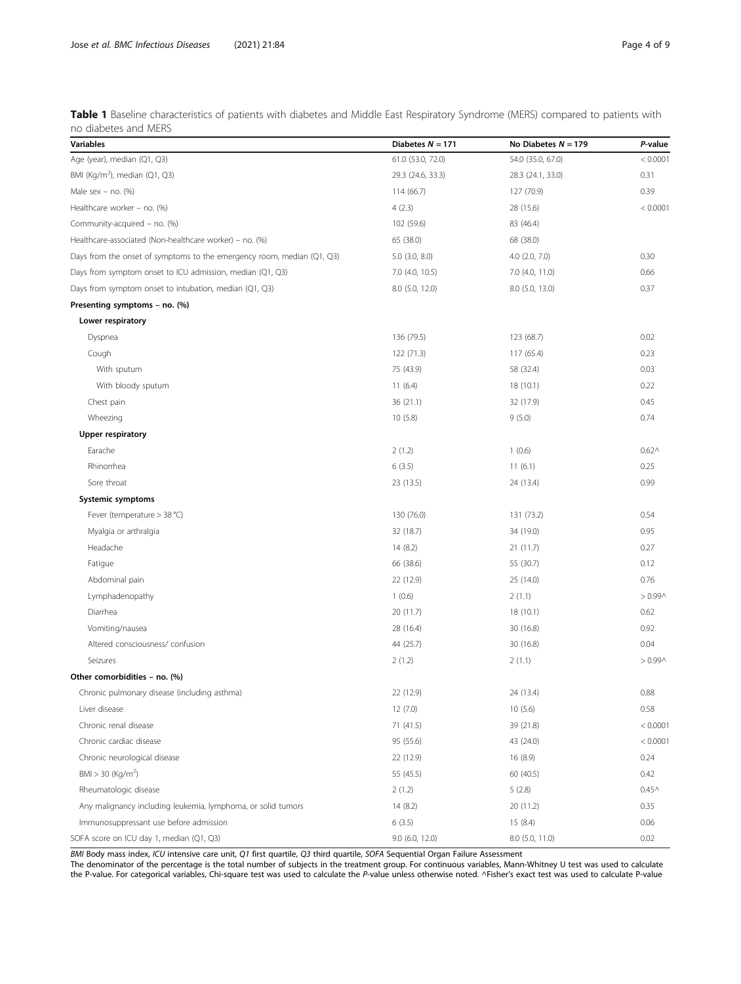<span id="page-3-0"></span>Table 1 Baseline characteristics of patients with diabetes and Middle East Respiratory Syndrome (MERS) compared to patients with no diabetes and MERS

| <b>Variables</b>                                                       | Diabetes $N = 171$ | No Diabetes $N = 179$ | P-value    |
|------------------------------------------------------------------------|--------------------|-----------------------|------------|
| Age (year), median (Q1, Q3)                                            | 61.0 (53.0, 72.0)  | 54.0 (35.0, 67.0)     | < 0.0001   |
| BMI (Kg/m <sup>2</sup> ), median (Q1, Q3)                              | 29.3 (24.6, 33.3)  | 28.3 (24.1, 33.0)     | 0.31       |
| Male sex - no. $(%)$                                                   | 114 (66.7)         | 127 (70.9)            | 0.39       |
| Healthcare worker - no. (%)                                            | 4(2.3)             | 28 (15.6)             | < 0.0001   |
| Community-acquired - no. (%)                                           | 102 (59.6)         | 83 (46.4)             |            |
| Healthcare-associated (Non-healthcare worker) – no. (%)                | 65 (38.0)          | 68 (38.0)             |            |
| Days from the onset of symptoms to the emergency room, median (Q1, Q3) | $5.0$ $(3.0, 8.0)$ | $4.0$ $(2.0, 7.0)$    | 0.30       |
| Days from symptom onset to ICU admission, median (Q1, Q3)              | 7.0 (4.0, 10.5)    | 7.0 (4.0, 11.0)       | 0.66       |
| Days from symptom onset to intubation, median (Q1, Q3)                 | 8.0 (5.0, 12.0)    | 8.0 (5.0, 13.0)       | 0.37       |
| Presenting symptoms - no. (%)                                          |                    |                       |            |
| Lower respiratory                                                      |                    |                       |            |
| Dyspnea                                                                | 136 (79.5)         | 123 (68.7)            | 0.02       |
| Cough                                                                  | 122 (71.3)         | 117 (65.4)            | 0.23       |
| With sputum                                                            | 75 (43.9)          | 58 (32.4)             | 0.03       |
| With bloody sputum                                                     | 11(6.4)            | 18 (10.1)             | 0.22       |
| Chest pain                                                             | 36(21.1)           | 32 (17.9)             | 0.45       |
| Wheezing                                                               | 10(5.8)            | 9(5.0)                | 0.74       |
| <b>Upper respiratory</b>                                               |                    |                       |            |
| Earache                                                                | 2(1.2)             | 1(0.6)                | $0.62^$    |
| Rhinorrhea                                                             | 6(3.5)             | 11(6.1)               | 0.25       |
| Sore throat                                                            | 23 (13.5)          | 24 (13.4)             | 0.99       |
| Systemic symptoms                                                      |                    |                       |            |
| Fever (temperature > 38 °C)                                            | 130 (76.0)         | 131 (73.2)            | 0.54       |
| Myalgia or arthralgia                                                  | 32 (18.7)          | 34 (19.0)             | 0.95       |
| Headache                                                               | 14(8.2)            | 21(11.7)              | 0.27       |
| Fatigue                                                                | 66 (38.6)          | 55 (30.7)             | 0.12       |
| Abdominal pain                                                         | 22 (12.9)          | 25 (14.0)             | 0.76       |
| Lymphadenopathy                                                        | 1(0.6)             | 2(1.1)                | $> 0.99$ ^ |
| Diarrhea                                                               | 20 (11.7)          | 18(10.1)              | 0.62       |
| Vomiting/nausea                                                        | 28 (16.4)          | 30 (16.8)             | 0.92       |
| Altered consciousness/ confusion                                       | 44 (25.7)          | 30 (16.8)             | 0.04       |
| Seizures                                                               | 2(1.2)             | 2(1.1)                | $> 0.99$ ^ |
| Other comorbidities - no. (%)                                          |                    |                       |            |
| Chronic pulmonary disease (including asthma)                           | 22 (12.9)          | 24 (13.4)             | 0.88       |
| Liver disease                                                          | 12(7.0)            | 10(5.6)               | 0.58       |
| Chronic renal disease                                                  | 71 (41.5)          | 39 (21.8)             | < 0.0001   |
| Chronic cardiac disease                                                | 95 (55.6)          | 43 (24.0)             | < 0.0001   |
| Chronic neurological disease                                           | 22 (12.9)          | 16(8.9)               | 0.24       |
| BMI > 30 (Kq/m <sup>2</sup> )                                          | 55 (45.5)          | 60 (40.5)             | 0.42       |
| Rheumatologic disease                                                  | 2(1.2)             | 5(2.8)                | $0.45^$    |
| Any malignancy including leukemia, lymphoma, or solid tumors           | 14(8.2)            | 20 (11.2)             | 0.35       |
| Immunosuppressant use before admission                                 | 6(3.5)             | 15 (8.4)              | 0.06       |
| SOFA score on ICU day 1, median (Q1, Q3)                               | 9.0 (6.0, 12.0)    | 8.0 (5.0, 11.0)       | 0.02       |

BMI Body mass index, ICU intensive care unit, Q1 first quartile, Q3 third quartile, SOFA Sequential Organ Failure Assessment

The denominator of the percentage is the total number of subjects in the treatment group. For continuous variables, Mann-Whitney U test was used to calculate the P-value. For categorical variables, Chi-square test was used to calculate the P-value unless otherwise noted. ^Fisher's exact test was used to calculate P-value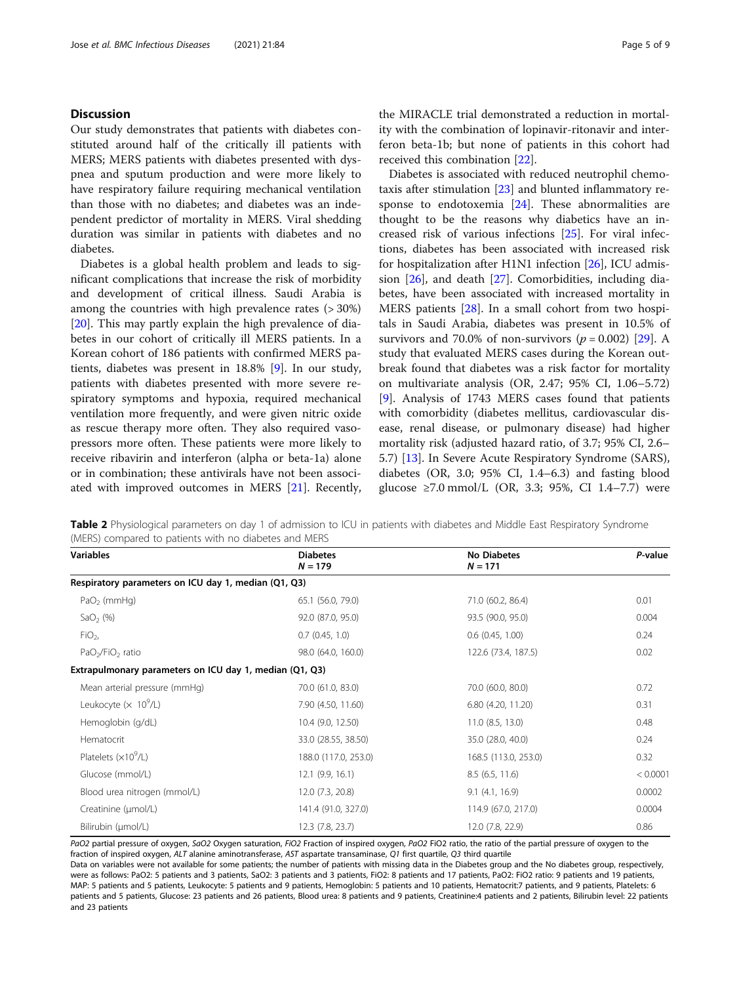# <span id="page-4-0"></span>**Discussion**

Our study demonstrates that patients with diabetes constituted around half of the critically ill patients with MERS; MERS patients with diabetes presented with dyspnea and sputum production and were more likely to have respiratory failure requiring mechanical ventilation than those with no diabetes; and diabetes was an independent predictor of mortality in MERS. Viral shedding duration was similar in patients with diabetes and no diabetes.

Diabetes is a global health problem and leads to significant complications that increase the risk of morbidity and development of critical illness. Saudi Arabia is among the countries with high prevalence rates (> 30%) [[20\]](#page-8-0). This may partly explain the high prevalence of diabetes in our cohort of critically ill MERS patients. In a Korean cohort of 186 patients with confirmed MERS patients, diabetes was present in 18.8% [\[9](#page-7-0)]. In our study, patients with diabetes presented with more severe respiratory symptoms and hypoxia, required mechanical ventilation more frequently, and were given nitric oxide as rescue therapy more often. They also required vasopressors more often. These patients were more likely to receive ribavirin and interferon (alpha or beta-1a) alone or in combination; these antivirals have not been associated with improved outcomes in MERS [[21\]](#page-8-0). Recently,

the MIRACLE trial demonstrated a reduction in mortality with the combination of lopinavir-ritonavir and interferon beta-1b; but none of patients in this cohort had received this combination [[22](#page-8-0)].

Diabetes is associated with reduced neutrophil chemotaxis after stimulation [[23](#page-8-0)] and blunted inflammatory response to endotoxemia [[24\]](#page-8-0). These abnormalities are thought to be the reasons why diabetics have an increased risk of various infections [\[25\]](#page-8-0). For viral infections, diabetes has been associated with increased risk for hospitalization after H1N1 infection [[26\]](#page-8-0), ICU admission [[26\]](#page-8-0), and death [\[27\]](#page-8-0). Comorbidities, including diabetes, have been associated with increased mortality in MERS patients [[28](#page-8-0)]. In a small cohort from two hospitals in Saudi Arabia, diabetes was present in 10.5% of survivors and 70.0% of non-survivors ( $p = 0.002$ ) [[29\]](#page-8-0). A study that evaluated MERS cases during the Korean outbreak found that diabetes was a risk factor for mortality on multivariate analysis (OR, 2.47; 95% CI, 1.06–5.72) [[9\]](#page-7-0). Analysis of 1743 MERS cases found that patients with comorbidity (diabetes mellitus, cardiovascular disease, renal disease, or pulmonary disease) had higher mortality risk (adjusted hazard ratio, of 3.7; 95% CI, 2.6– 5.7) [\[13\]](#page-8-0). In Severe Acute Respiratory Syndrome (SARS), diabetes (OR, 3.0; 95% CI, 1.4–6.3) and fasting blood glucose ≥7.0 mmol/L (OR, 3.3; 95%, CI 1.4–7.7) were

Table 2 Physiological parameters on day 1 of admission to ICU in patients with diabetes and Middle East Respiratory Syndrome (MERS) compared to patients with no diabetes and MERS

| <b>Variables</b>                                        | <b>Diabetes</b><br>$N = 179$ | <b>No Diabetes</b><br>$N = 171$ | P-value  |
|---------------------------------------------------------|------------------------------|---------------------------------|----------|
| Respiratory parameters on ICU day 1, median (Q1, Q3)    |                              |                                 |          |
| $PaO2$ (mmHq)                                           | 65.1 (56.0, 79.0)            | 71.0 (60.2, 86.4)               | 0.01     |
| SaO <sub>2</sub> $(\%)$                                 | 92.0 (87.0, 95.0)            | 93.5 (90.0, 95.0)               | 0.004    |
| FiO <sub>2</sub>                                        | $0.7$ $(0.45, 1.0)$          | 0.6(0.45, 1.00)                 | 0.24     |
| PaO <sub>2</sub> /FiO <sub>2</sub> ratio                | 98.0 (64.0, 160.0)           | 122.6 (73.4, 187.5)             | 0.02     |
| Extrapulmonary parameters on ICU day 1, median (Q1, Q3) |                              |                                 |          |
| Mean arterial pressure (mmHg)                           | 70.0 (61.0, 83.0)            | 70.0 (60.0, 80.0)               | 0.72     |
| Leukocyte ( $\times$ 10 <sup>9</sup> /L)                | 7.90 (4.50, 11.60)           | 6.80 (4.20, 11.20)              | 0.31     |
| Hemoglobin (g/dL)                                       | 10.4 (9.0, 12.50)            | 11.0 (8.5, 13.0)                | 0.48     |
| Hematocrit                                              | 33.0 (28.55, 38.50)          | 35.0 (28.0, 40.0)               | 0.24     |
| Platelets $(x10^9/L)$                                   | 188.0 (117.0, 253.0)         | 168.5 (113.0, 253.0)            | 0.32     |
| Glucose (mmol/L)                                        | $12.1$ (9.9, 16.1)           | 8.5(6.5, 11.6)                  | < 0.0001 |
| Blood urea nitrogen (mmol/L)                            | 12.0 (7.3, 20.8)             | 9.1(4.1, 16.9)                  | 0.0002   |
| Creatinine (µmol/L)                                     | 141.4 (91.0, 327.0)          | 114.9 (67.0, 217.0)             | 0.0004   |
| Bilirubin (umol/L)                                      | 12.3 (7.8, 23.7)             | 12.0 (7.8, 22.9)                | 0.86     |

PaO2 partial pressure of oxygen, SaO2 Oxygen saturation, FiO2 Fraction of inspired oxygen, PaO2 FiO2 ratio, the ratio of the partial pressure of oxygen to the fraction of inspired oxygen, ALT alanine aminotransferase, AST aspartate transaminase, Q1 first quartile, Q3 third quartile

Data on variables were not available for some patients; the number of patients with missing data in the Diabetes group and the No diabetes group, respectively, were as follows: PaO2: 5 patients and 3 patients, SaO2: 3 patients and 3 patients, FiO2: 8 patients and 17 patients, PaO2: FiO2 ratio: 9 patients and 19 patients, MAP: 5 patients and 5 patients, Leukocyte: 5 patients and 9 patients, Hemoglobin: 5 patients and 10 patients, Hematocrit:7 patients, and 9 patients, Platelets: 6 patients and 5 patients, Glucose: 23 patients and 26 patients, Blood urea: 8 patients and 9 patients, Creatinine:4 patients and 2 patients, Bilirubin level: 22 patients and 23 patients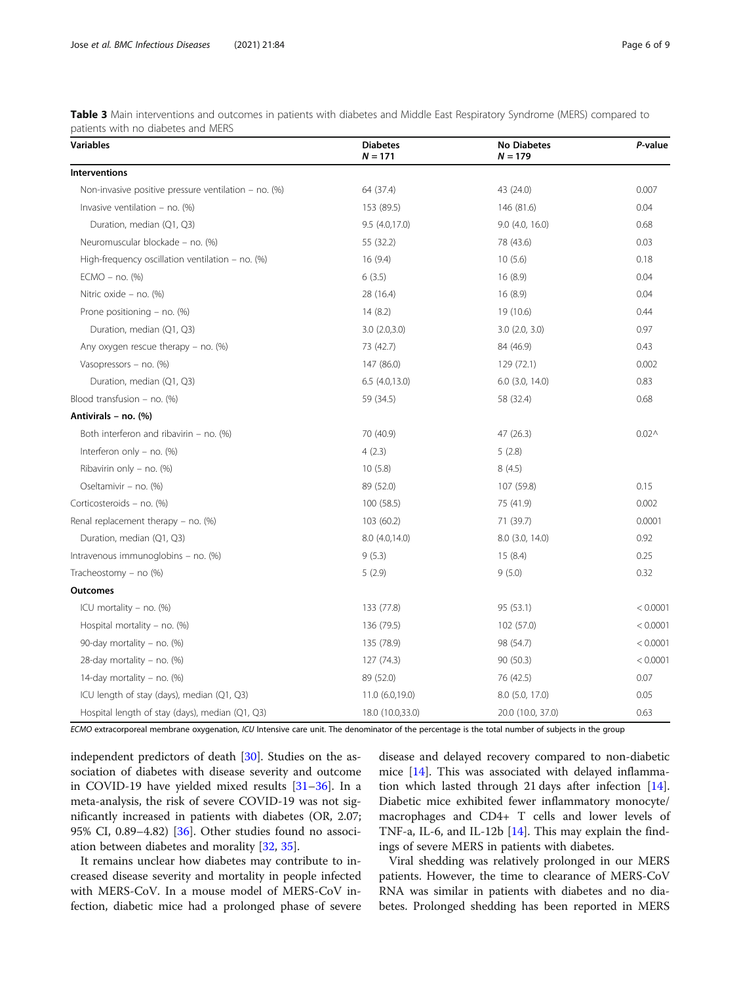<span id="page-5-0"></span>

| Table 3 Main interventions and outcomes in patients with diabetes and Middle East Respiratory Syndrome (MERS) compared to |  |  |
|---------------------------------------------------------------------------------------------------------------------------|--|--|
| patients with no diabetes and MERS                                                                                        |  |  |

| <b>Variables</b>                                        | <b>Diabetes</b><br>$N = 171$ | <b>No Diabetes</b><br>$N = 179$ | P-value           |
|---------------------------------------------------------|------------------------------|---------------------------------|-------------------|
| <b>Interventions</b>                                    |                              |                                 |                   |
| Non-invasive positive pressure ventilation – no. $(\%)$ | 64 (37.4)                    | 43 (24.0)                       | 0.007             |
| Invasive ventilation - no. $(\%)$                       | 153 (89.5)                   | 146 (81.6)                      | 0.04              |
| Duration, median (Q1, Q3)                               | 9.5(4.0,17.0)                | $9.0$ $(4.0, 16.0)$             | 0.68              |
| Neuromuscular blockade - no. (%)                        | 55 (32.2)                    | 78 (43.6)                       | 0.03              |
| High-frequency oscillation ventilation - no. $(\%)$     | 16(9.4)                      | 10(5.6)                         | 0.18              |
| $ECMO - no.$ (%)                                        | 6(3.5)                       | 16(8.9)                         | 0.04              |
| Nitric oxide - no. (%)                                  | 28 (16.4)                    | 16(8.9)                         | 0.04              |
| Prone positioning $-$ no. (%)                           | 14(8.2)                      | 19 (10.6)                       | 0.44              |
| Duration, median (Q1, Q3)                               | 3.0(2.0,3.0)                 | $3.0$ $(2.0, 3.0)$              | 0.97              |
| Any oxygen rescue therapy $-$ no. (%)                   | 73 (42.7)                    | 84 (46.9)                       | 0.43              |
| Vasopressors - no. (%)                                  | 147 (86.0)                   | 129 (72.1)                      | 0.002             |
| Duration, median (Q1, Q3)                               | 6.5(4.0.13.0)                | $6.0$ $(3.0, 14.0)$             | 0.83              |
| Blood transfusion - no. (%)                             | 59 (34.5)                    | 58 (32.4)                       | 0.68              |
| Antivirals - no. (%)                                    |                              |                                 |                   |
| Both interferon and ribavirin $-$ no. (%)               | 70 (40.9)                    | 47 (26.3)                       | 0.02 <sub>0</sub> |
| Interferon only $-$ no. (%)                             | 4(2.3)                       | 5(2.8)                          |                   |
| Ribavirin only - no. (%)                                | 10(5.8)                      | 8(4.5)                          |                   |
| Oseltamivir - no. (%)                                   | 89 (52.0)                    | 107 (59.8)                      | 0.15              |
| Corticosteroids - no. (%)                               | 100 (58.5)                   | 75 (41.9)                       | 0.002             |
| Renal replacement therapy $-$ no. (%)                   | 103 (60.2)                   | 71 (39.7)                       | 0.0001            |
| Duration, median (Q1, Q3)                               | 8.0 (4.0,14.0)               | 8.0 (3.0, 14.0)                 | 0.92              |
| Intravenous immunoglobins - no. (%)                     | 9(5.3)                       | 15(8.4)                         | 0.25              |
| Tracheostomy - no $%$                                   | 5(2.9)                       | 9(5.0)                          | 0.32              |
| <b>Outcomes</b>                                         |                              |                                 |                   |
| ICU mortality $-$ no. (%)                               | 133 (77.8)                   | 95 (53.1)                       | < 0.0001          |
| Hospital mortality - no. $(\%)$                         | 136 (79.5)                   | 102 (57.0)                      | < 0.0001          |
| 90-day mortality – no. (%)                              | 135 (78.9)                   | 98 (54.7)                       | < 0.0001          |
| 28-day mortality – no. $(\%)$                           | 127 (74.3)                   | 90 (50.3)                       | < 0.0001          |
| 14-day mortality - no. $(\%)$                           | 89 (52.0)                    | 76 (42.5)                       | 0.07              |
| ICU length of stay (days), median (Q1, Q3)              | 11.0 (6.0,19.0)              | 8.0 (5.0, 17.0)                 | 0.05              |
| Hospital length of stay (days), median (Q1, Q3)         | 18.0 (10.0,33.0)             | 20.0 (10.0, 37.0)               | 0.63              |

ECMO extracorporeal membrane oxygenation, ICU Intensive care unit. The denominator of the percentage is the total number of subjects in the group

independent predictors of death [[30](#page-8-0)]. Studies on the association of diabetes with disease severity and outcome in COVID-19 have yielded mixed results [[31](#page-8-0)–[36](#page-8-0)]. In a meta-analysis, the risk of severe COVID-19 was not significantly increased in patients with diabetes (OR, 2.07; 95% CI, 0.89–4.82) [\[36](#page-8-0)]. Other studies found no association between diabetes and morality [\[32,](#page-8-0) [35\]](#page-8-0).

It remains unclear how diabetes may contribute to increased disease severity and mortality in people infected with MERS-CoV. In a mouse model of MERS-CoV infection, diabetic mice had a prolonged phase of severe disease and delayed recovery compared to non-diabetic mice [[14\]](#page-8-0). This was associated with delayed inflammation which lasted through 21 days after infection [\[14](#page-8-0)]. Diabetic mice exhibited fewer inflammatory monocyte/ macrophages and CD4+ T cells and lower levels of TNF-a, IL-6, and IL-12b [\[14\]](#page-8-0). This may explain the findings of severe MERS in patients with diabetes.

Viral shedding was relatively prolonged in our MERS patients. However, the time to clearance of MERS-CoV RNA was similar in patients with diabetes and no diabetes. Prolonged shedding has been reported in MERS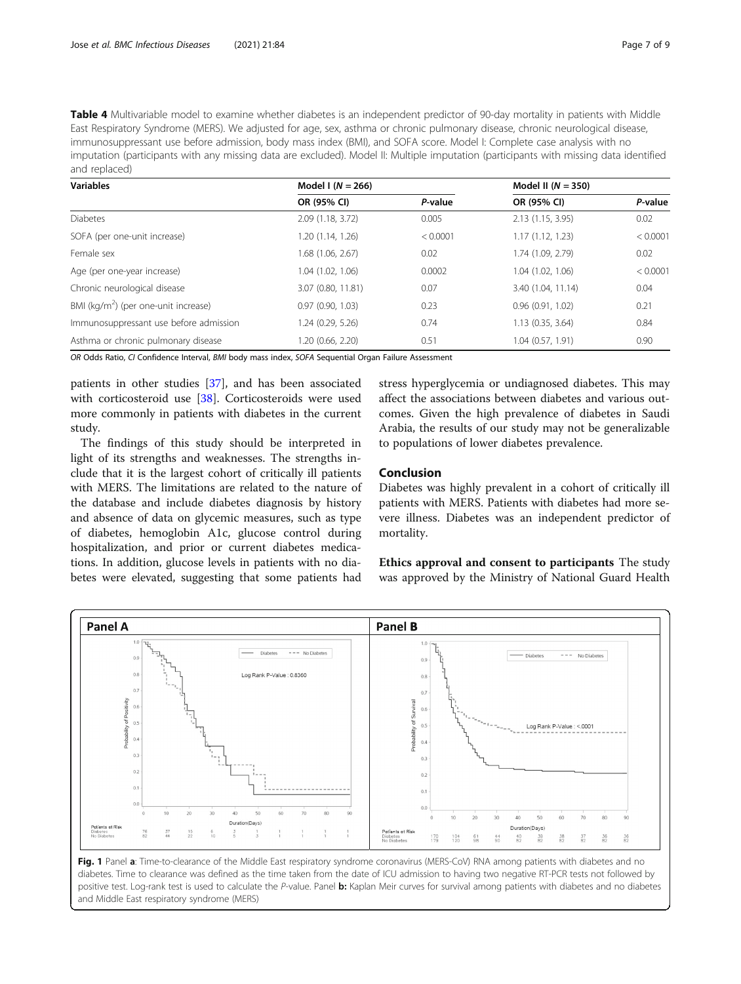<span id="page-6-0"></span>Table 4 Multivariable model to examine whether diabetes is an independent predictor of 90-day mortality in patients with Middle East Respiratory Syndrome (MERS). We adjusted for age, sex, asthma or chronic pulmonary disease, chronic neurological disease, immunosuppressant use before admission, body mass index (BMI), and SOFA score. Model I: Complete case analysis with no imputation (participants with any missing data are excluded). Model II: Multiple imputation (participants with missing data identified and replaced)

| <b>Variables</b>                        | Model I $(N = 266)$ |          | Model II $(N = 350)$ |          |
|-----------------------------------------|---------------------|----------|----------------------|----------|
|                                         | OR (95% CI)         | P-value  | OR (95% CI)          | P-value  |
| <b>Diabetes</b>                         | 2.09 (1.18, 3.72)   | 0.005    | 2.13 (1.15, 3.95)    | 0.02     |
| SOFA (per one-unit increase)            | 1.20 (1.14, 1.26)   | < 0.0001 | 1.17(1.12, 1.23)     | < 0.0001 |
| Female sex                              | 1.68 (1.06, 2.67)   | 0.02     | 1.74 (1.09, 2.79)    | 0.02     |
| Age (per one-year increase)             | 1.04 (1.02, 1.06)   | 0.0002   | 1.04 (1.02, 1.06)    | < 0.0001 |
| Chronic neurological disease            | 3.07 (0.80, 11.81)  | 0.07     | 3.40 (1.04, 11.14)   | 0.04     |
| BMI ( $kg/m2$ ) (per one-unit increase) | 0.97(0.90, 1.03)    | 0.23     | 0.96(0.91, 1.02)     | 0.21     |
| Immunosuppressant use before admission  | 1.24 (0.29, 5.26)   | 0.74     | 1.13(0.35, 3.64)     | 0.84     |
| Asthma or chronic pulmonary disease     | 1.20 (0.66, 2.20)   | 0.51     | 1.04(0.57, 1.91)     | 0.90     |

OR Odds Ratio, CI Confidence Interval, BMI body mass index, SOFA Sequential Organ Failure Assessment

patients in other studies [\[37\]](#page-8-0), and has been associated with corticosteroid use [\[38](#page-8-0)]. Corticosteroids were used more commonly in patients with diabetes in the current study.

The findings of this study should be interpreted in light of its strengths and weaknesses. The strengths include that it is the largest cohort of critically ill patients with MERS. The limitations are related to the nature of the database and include diabetes diagnosis by history and absence of data on glycemic measures, such as type of diabetes, hemoglobin A1c, glucose control during hospitalization, and prior or current diabetes medications. In addition, glucose levels in patients with no diabetes were elevated, suggesting that some patients had stress hyperglycemia or undiagnosed diabetes. This may affect the associations between diabetes and various outcomes. Given the high prevalence of diabetes in Saudi Arabia, the results of our study may not be generalizable to populations of lower diabetes prevalence.

# Conclusion

Diabetes was highly prevalent in a cohort of critically ill patients with MERS. Patients with diabetes had more severe illness. Diabetes was an independent predictor of mortality.

Ethics approval and consent to participants The study was approved by the Ministry of National Guard Health



Fig. 1 Panel a: Time-to-clearance of the Middle East respiratory syndrome coronavirus (MERS-CoV) RNA among patients with diabetes and no diabetes. Time to clearance was defined as the time taken from the date of ICU admission to having two negative RT-PCR tests not followed by positive test. Log-rank test is used to calculate the P-value. Panel b: Kaplan Meir curves for survival among patients with diabetes and no diabetes and Middle East respiratory syndrome (MERS)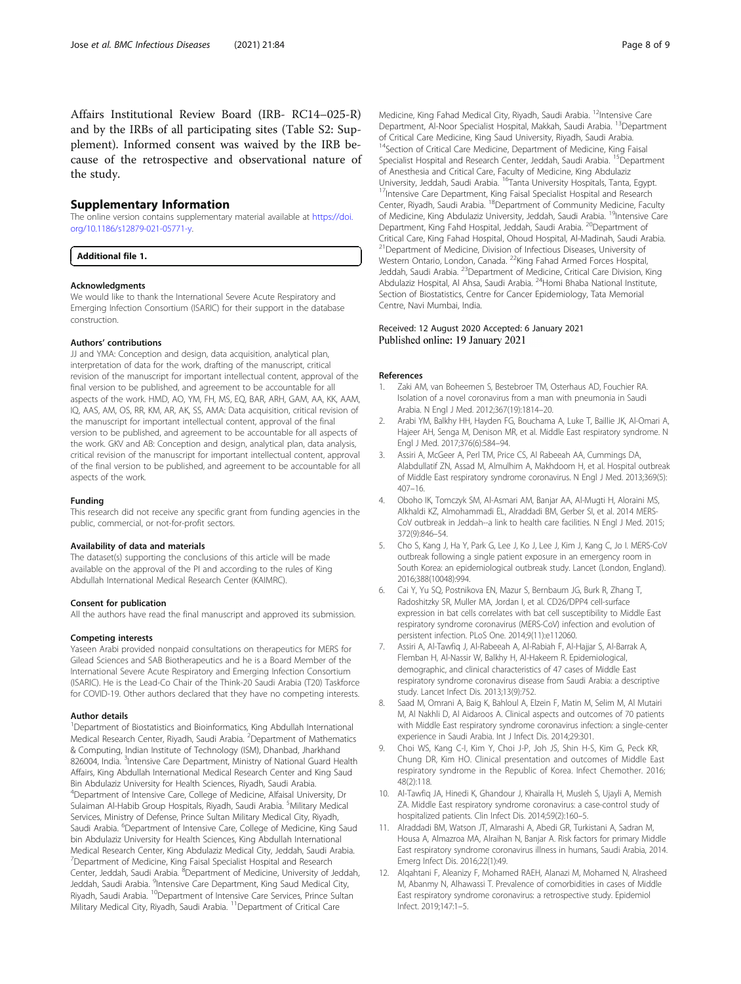<span id="page-7-0"></span>Affairs Institutional Review Board (IRB- RC14–025-R) and by the IRBs of all participating sites (Table S2: Supplement). Informed consent was waived by the IRB because of the retrospective and observational nature of the study.

#### Supplementary Information

The online version contains supplementary material available at [https://doi.](https://doi.org/10.1186/s12879-021-05771-y) [org/10.1186/s12879-021-05771-y](https://doi.org/10.1186/s12879-021-05771-y).

Additional file 1.

#### Acknowledgments

We would like to thank the International Severe Acute Respiratory and Emerging Infection Consortium (ISARIC) for their support in the database construction.

#### Authors' contributions

JJ and YMA: Conception and design, data acquisition, analytical plan, interpretation of data for the work, drafting of the manuscript, critical revision of the manuscript for important intellectual content, approval of the final version to be published, and agreement to be accountable for all aspects of the work. HMD, AO, YM, FH, MS, EQ, BAR, ARH, GAM, AA, KK, AAM, IQ, AAS, AM, OS, RR, KM, AR, AK, SS, AMA: Data acquisition, critical revision of the manuscript for important intellectual content, approval of the final version to be published, and agreement to be accountable for all aspects of the work. GKV and AB: Conception and design, analytical plan, data analysis, critical revision of the manuscript for important intellectual content, approval of the final version to be published, and agreement to be accountable for all aspects of the work.

#### Funding

This research did not receive any specific grant from funding agencies in the public, commercial, or not-for-profit sectors.

#### Availability of data and materials

The dataset(s) supporting the conclusions of this article will be made available on the approval of the PI and according to the rules of King Abdullah International Medical Research Center (KAIMRC).

#### Consent for publication

All the authors have read the final manuscript and approved its submission.

#### Competing interests

Yaseen Arabi provided nonpaid consultations on therapeutics for MERS for Gilead Sciences and SAB Biotherapeutics and he is a Board Member of the International Severe Acute Respiratory and Emerging Infection Consortium (ISARIC). He is the Lead-Co Chair of the Think-20 Saudi Arabia (T20) Taskforce for COVID-19. Other authors declared that they have no competing interests.

#### Author details

<sup>1</sup>Department of Biostatistics and Bioinformatics, King Abdullah International Medical Research Center, Riyadh, Saudi Arabia. <sup>2</sup>Department of Mathematics & Computing, Indian Institute of Technology (ISM), Dhanbad, Jharkhand 826004, India. <sup>3</sup>Intensive Care Department, Ministry of National Guard Health Affairs, King Abdullah International Medical Research Center and King Saud Bin Abdulaziz University for Health Sciences, Riyadh, Saudi Arabia. 4 Department of Intensive Care, College of Medicine, Alfaisal University, Dr Sulaiman Al-Habib Group Hospitals, Riyadh, Saudi Arabia. <sup>5</sup>Military Medical Services, Ministry of Defense, Prince Sultan Military Medical City, Riyadh, Saudi Arabia. <sup>6</sup>Department of Intensive Care, College of Medicine, King Saud bin Abdulaziz University for Health Sciences, King Abdullah International Medical Research Center, King Abdulaziz Medical City, Jeddah, Saudi Arabia. <sup>7</sup>Department of Medicine, King Faisal Specialist Hospital and Research Center, Jeddah, Saudi Arabia. <sup>8</sup>Department of Medicine, University of Jeddah, Jeddah, Saudi Arabia. <sup>9</sup>Intensive Care Department, King Saud Medical City,<br>Riyadh, Saudi Arabia. <sup>10</sup>Department of Intensive Care Services, Prince Sultan Military Medical City, Riyadh, Saudi Arabia. <sup>11</sup>Department of Critical Care

Medicine, King Fahad Medical City, Riyadh, Saudi Arabia. <sup>12</sup>Intensive Care Department, Al-Noor Specialist Hospital, Makkah, Saudi Arabia. <sup>13</sup>Department of Critical Care Medicine, King Saud University, Riyadh, Saudi Arabia. <sup>14</sup>Section of Critical Care Medicine, Department of Medicine, King Faisal Specialist Hospital and Research Center, Jeddah, Saudi Arabia. <sup>15</sup>Department of Anesthesia and Critical Care, Faculty of Medicine, King Abdulaziz University, Jeddah, Saudi Arabia. <sup>16</sup>Tanta University Hospitals, Tanta, Egypt.<br><sup>17</sup>Intensive Care Department, King Faisal Specialist Hospital and Research Center, Riyadh, Saudi Arabia. 18Department of Community Medicine, Faculty of Medicine, King Abdulaziz University, Jeddah, Saudi Arabia. <sup>19</sup>Intensive Care Department, King Fahd Hospital, Jeddah, Saudi Arabia. <sup>20</sup>Department of Critical Care, King Fahad Hospital, Ohoud Hospital, Al-Madinah, Saudi Arabia. <sup>21</sup> Department of Medicine, Division of Infectious Diseases, University of Western Ontario, London, Canada. 22King Fahad Armed Forces Hospital, Jeddah, Saudi Arabia. <sup>23</sup>Department of Medicine, Critical Care Division, King Abdulaziz Hospital, Al Ahsa, Saudi Arabia. <sup>24</sup>Homi Bhaba National Institute, Section of Biostatistics, Centre for Cancer Epidemiology, Tata Memorial Centre, Navi Mumbai, India.

### Received: 12 August 2020 Accepted: 6 January 2021 Published online: 19 January 2021

#### References

- Zaki AM, van Boheemen S, Bestebroer TM, Osterhaus AD, Fouchier RA. Isolation of a novel coronavirus from a man with pneumonia in Saudi Arabia. N Engl J Med. 2012;367(19):1814–20.
- 2. Arabi YM, Balkhy HH, Hayden FG, Bouchama A, Luke T, Baillie JK, Al-Omari A, Hajeer AH, Senga M, Denison MR, et al. Middle East respiratory syndrome. N Engl J Med. 2017;376(6):584–94.
- 3. Assiri A, McGeer A, Perl TM, Price CS, Al Rabeeah AA, Cummings DA, Alabdullatif ZN, Assad M, Almulhim A, Makhdoom H, et al. Hospital outbreak of Middle East respiratory syndrome coronavirus. N Engl J Med. 2013;369(5): 407–16.
- 4. Oboho IK, Tomczyk SM, Al-Asmari AM, Banjar AA, Al-Mugti H, Aloraini MS, Alkhaldi KZ, Almohammadi EL, Alraddadi BM, Gerber SI, et al. 2014 MERS-CoV outbreak in Jeddah--a link to health care facilities. N Engl J Med. 2015; 372(9):846–54.
- 5. Cho S, Kang J, Ha Y, Park G, Lee J, Ko J, Lee J, Kim J, Kang C, Jo I. MERS-CoV outbreak following a single patient exposure in an emergency room in South Korea: an epidemiological outbreak study. Lancet (London, England). 2016;388(10048):994.
- 6. Cai Y, Yu SQ, Postnikova EN, Mazur S, Bernbaum JG, Burk R, Zhang T, Radoshitzky SR, Muller MA, Jordan I, et al. CD26/DPP4 cell-surface expression in bat cells correlates with bat cell susceptibility to Middle East respiratory syndrome coronavirus (MERS-CoV) infection and evolution of persistent infection. PLoS One. 2014;9(11):e112060.
- 7. Assiri A, Al-Tawfiq J, Al-Rabeeah A, Al-Rabiah F, Al-Hajjar S, Al-Barrak A, Flemban H, Al-Nassir W, Balkhy H, Al-Hakeem R. Epidemiological, demographic, and clinical characteristics of 47 cases of Middle East respiratory syndrome coronavirus disease from Saudi Arabia: a descriptive study. Lancet Infect Dis. 2013;13(9):752.
- 8. Saad M, Omrani A, Baig K, Bahloul A, Elzein F, Matin M, Selim M, Al Mutairi M, Al Nakhli D, Al Aidaroos A. Clinical aspects and outcomes of 70 patients with Middle East respiratory syndrome coronavirus infection: a single-center experience in Saudi Arabia. Int J Infect Dis. 2014;29:301.
- 9. Choi WS, Kang C-I, Kim Y, Choi J-P, Joh JS, Shin H-S, Kim G, Peck KR, Chung DR, Kim HO. Clinical presentation and outcomes of Middle East respiratory syndrome in the Republic of Korea. Infect Chemother. 2016; 48(2):118.
- 10. Al-Tawfiq JA, Hinedi K, Ghandour J, Khairalla H, Musleh S, Ujayli A, Memish ZA. Middle East respiratory syndrome coronavirus: a case-control study of hospitalized patients. Clin Infect Dis. 2014;59(2):160–5.
- 11. Alraddadi BM, Watson JT, Almarashi A, Abedi GR, Turkistani A, Sadran M, Housa A, Almazroa MA, Alraihan N, Banjar A. Risk factors for primary Middle East respiratory syndrome coronavirus illness in humans, Saudi Arabia, 2014. Emerg Infect Dis. 2016;22(1):49.
- 12. Alqahtani F, Aleanizy F, Mohamed RAEH, Alanazi M, Mohamed N, Alrasheed M, Abanmy N, Alhawassi T. Prevalence of comorbidities in cases of Middle East respiratory syndrome coronavirus: a retrospective study. Epidemiol Infect. 2019;147:1–5.